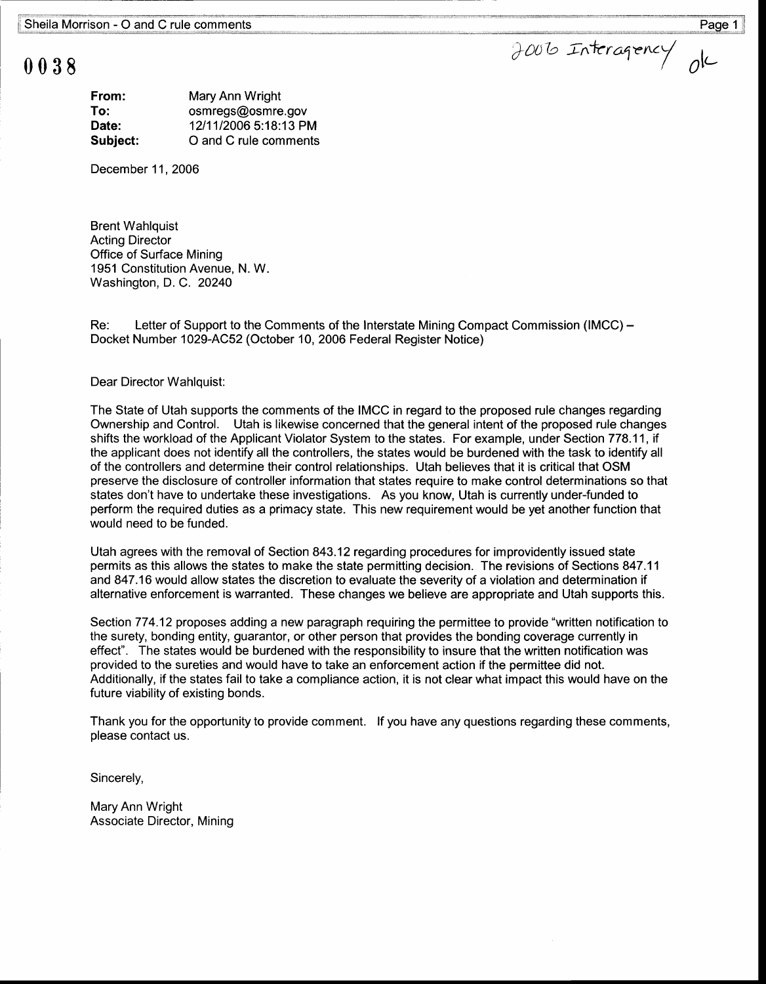## 0038

| From:    | Mary Ann Wright       |
|----------|-----------------------|
| To:      | osmregs@osmre.gov     |
| Date:    | 12/11/2006 5:18:13 PM |
| Subject: | O and C rule comments |

December 11, 2006

**Brent Wahlquist Acting Director** Office of Surface Mining 1951 Constitution Avenue, N. W. Washington, D. C. 20240

Re: Letter of Support to the Comments of the Interstate Mining Compact Commission (IMCC) – Docket Number 1029-AC52 (October 10, 2006 Federal Register Notice)

## Dear Director Wahlquist:

The State of Utah supports the comments of the IMCC in regard to the proposed rule changes regarding Ownership and Control. Utah is likewise concerned that the general intent of the proposed rule changes shifts the workload of the Applicant Violator System to the states. For example, under Section 778.11, if the applicant does not identify all the controllers, the states would be burdened with the task to identify all of the controllers and determine their control relationships. Utah believes that it is critical that OSM preserve the disclosure of controller information that states require to make control determinations so that states don't have to undertake these investigations. As you know, Utah is currently under-funded to perform the required duties as a primacy state. This new requirement would be yet another function that would need to be funded.

Utah agrees with the removal of Section 843.12 regarding procedures for improvidently issued state permits as this allows the states to make the state permitting decision. The revisions of Sections 847.11 and 847.16 would allow states the discretion to evaluate the severity of a violation and determination if alternative enforcement is warranted. These changes we believe are appropriate and Utah supports this.

Section 774.12 proposes adding a new paragraph requiring the permittee to provide "written notification to the surety, bonding entity, guarantor, or other person that provides the bonding coverage currently in effect". The states would be burdened with the responsibility to insure that the written notification was provided to the sureties and would have to take an enforcement action if the permittee did not. Additionally, if the states fail to take a compliance action, it is not clear what impact this would have on the future viability of existing bonds.

Thank you for the opportunity to provide comment. If you have any questions regarding these comments, please contact us.

Sincerely,

Mary Ann Wright Associate Director, Mining